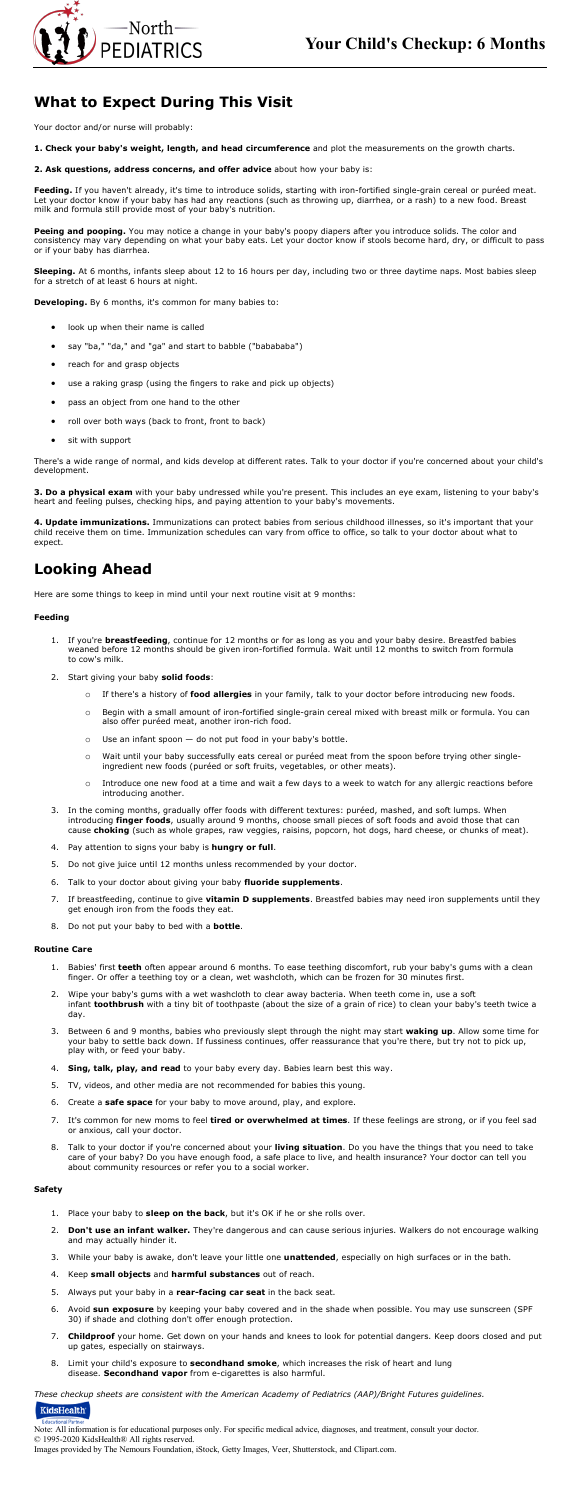



# **What to Expect During This Visit**

Your doctor and/or nurse will probably:

- **1. Check your baby's weight, length, and head circumference** and plot the measurements on the growth charts.
- **2. Ask questions, address concerns, and offer advice** about how your baby is:

**Feeding.** If you haven't already, it's time to introduce solids, starting with iron-fortified single-grain cereal or puréed meat. Let your doctor know if your baby has had any reactions (such as throwing up, diarrhea, or a rash) to a new food. Breast milk and formula still provide most of your baby's nutrition.

**Peeing and pooping.** You may notice a change in your baby's poopy diapers after you introduce solids. The color and consistency may vary depending on what your baby eats. Let your doctor know if stools become hard, dry, or difficult to pass or if your baby has diarrhea.

**Sleeping.** At 6 months, infants sleep about 12 to 16 hours per day, including two or three daytime naps. Most babies sleep for a stretch of at least 6 hours at night.

**Developing.** By 6 months, it's common for many babies to:

- look up when their name is called
- say "ba," "da," and "ga" and start to babble ("babababa")
- reach for and grasp objects
- use a raking grasp (using the fingers to rake and pick up objects)
- pass an object from one hand to the other
- roll over both ways (back to front, front to back)
- sit with support

There's a wide range of normal, and kids develop at different rates. Talk to your doctor if you're concerned about your child's development.

**3. Do a physical exam** with your baby undressed while you're present. This includes an eye exam, listening to your baby's heart and feeling pulses, checking hips, and paying attention to your baby's movements.

**4. Update immunizations.** Immunizations can protect babies from serious childhood illnesses, so it's important that your child receive them on time. Immunization schedules can vary from office to office, so talk to your doctor about what to expect.

## **Looking Ahead**

Here are some things to keep in mind until your next routine visit at 9 months:

### **Feeding**

- 1. If you're **breastfeeding**, continue for 12 months or for as long as you and your baby desire. Breastfed babies weaned before 12 months should be given iron-fortified formula. Wait until 12 months to switch from formula to cow's milk.
- 2. Start giving your baby **solid foods**:
	- o If there's a history of **food allergies** in your family, talk to your doctor before introducing new foods.
	- o Begin with a small amount of iron-fortified single-grain cereal mixed with breast milk or formula. You can also offer puréed meat, another iron-rich food.
	- $\circ$  Use an infant spoon  $-$  do not put food in your baby's bottle.
	- o Wait until your baby successfully eats cereal or puréed meat from the spoon before trying other singleingredient new foods (puréed or soft fruits, vegetables, or other meats).
	- o Introduce one new food at a time and wait a few days to a week to watch for any allergic reactions before introducing another.
- 3. In the coming months, gradually offer foods with different textures: puréed, mashed, and soft lumps. When introducing **finger foods**, usually around 9 months, choose small pieces of soft foods and avoid those that can cause **choking** (such as whole grapes, raw veggies, raisins, popcorn, hot dogs, hard cheese, or chunks of meat).
- 4. Pay attention to signs your baby is **hungry or full**.
- 
- 5. Do not give juice until 12 months unless recommended by your doctor.
- 6. Talk to your doctor about giving your baby **fluoride supplements**.
- 7. If breastfeeding, continue to give **vitamin D supplements**. Breastfed babies may need iron supplements until they get enough iron from the foods they eat.
- 8. Do not put your baby to bed with a **bottle**.

#### **Routine Care**

- 1. Babies' first **teeth** often appear around 6 months. To ease teething discomfort, rub your baby's gums with a clean finger. Or offer a teething toy or a clean, wet washcloth, which can be frozen for 30 minutes first.
- 2. Wipe your baby's gums with a wet washcloth to clear away bacteria. When teeth come in, use a soft infant **toothbrush** with a tiny bit of toothpaste (about the size of a grain of rice) to clean your baby's teeth twice a day.
- 3. Between 6 and 9 months, babies who previously slept through the night may start **waking up**. Allow some time for your baby to settle back down. If fussiness continues, offer reassurance that you're there, but try not to pick up, play with, or feed your baby.
- 4. **Sing, talk, play, and read** to your baby every day. Babies learn best this way.
- 5. TV, videos, and other media are not recommended for babies this young.
- 6. Create a **safe space** for your baby to move around, play, and explore.
- 7. It's common for new moms to feel **tired or overwhelmed at times**. If these feelings are strong, or if you feel sad or anxious, call your doctor.
- 8. Talk to your doctor if you're concerned about your **living situation**. Do you have the things that you need to take care of your baby? Do you have enough food, a safe place to live, and health insurance? Your doctor can tell you about community resources or refer you to a social worker.

### **Safety**

- 1. Place your baby to **sleep on the back**, but it's OK if he or she rolls over.
- 2. **Don't use an infant walker.** They're dangerous and can cause serious injuries. Walkers do not encourage walking and may actually hinder it.
- 3. While your baby is awake, don't leave your little one **unattended**, especially on high surfaces or in the bath.
- 4. Keep **small objects** and **harmful substances** out of reach.
- 5. Always put your baby in a **rear-facing car seat** in the back seat.
- 6. Avoid **sun exposure** by keeping your baby covered and in the shade when possible. You may use sunscreen (SPF 30) if shade and clothing don't offer enough protection.
- 7. **Childproof** your home. Get down on your hands and knees to look for potential dangers. Keep doors closed and put up gates, especially on stairways.
- 8. Limit your child's exposure to **secondhand smoke**, which increases the risk of heart and lung disease. **Secondhand vapor** from e-cigarettes is also harmful.

*These checkup sheets are consistent with the American Academy of Pediatrics (AAP)/Bright Futures guidelines.*

### KidsHealth

#### **Educational Partn**

Note: All information is for educational purposes only. For specific medical advice, diagnoses, and treatment, consult your doctor. © 1995-2020 KidsHealth® All rights reserved.

Images provided by The Nemours Foundation, iStock, Getty Images, Veer, Shutterstock, and Clipart.com.